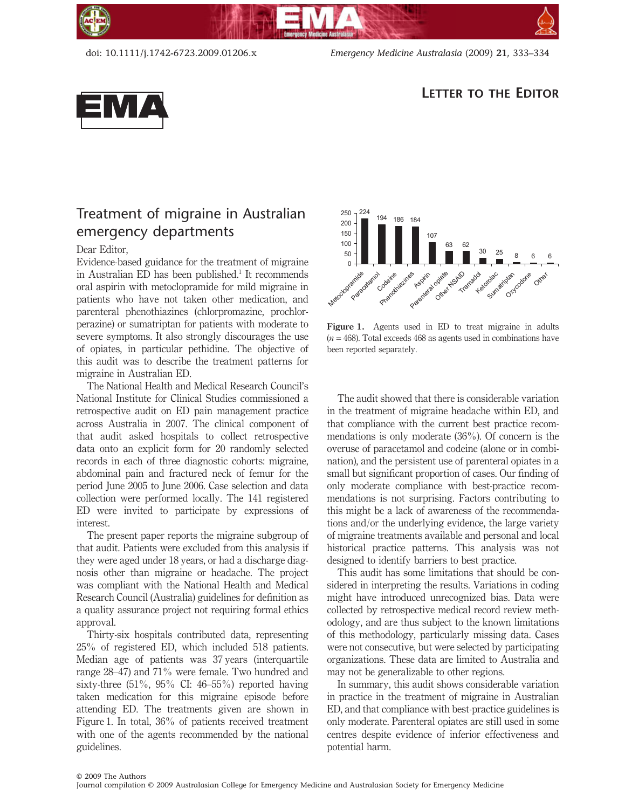doi: 10.1111/j.1742-6723.2009.01206.x *Emergency Medicine Australasia* (2009) **21**, 333–334



## **LETTER TO THE EDITOR**

## Treatment of migraine in Australian emergency departments

## Dear Editor,

Evidence-based guidance for the treatment of migraine in Australian ED has been published.<sup>1</sup> It recommends oral aspirin with metoclopramide for mild migraine in patients who have not taken other medication, and parenteral phenothiazines (chlorpromazine, prochlorperazine) or sumatriptan for patients with moderate to severe symptoms. It also strongly discourages the use of opiates, in particular pethidine. The objective of this audit was to describe the treatment patterns for migraine in Australian ED.

The National Health and Medical Research Council's National Institute for Clinical Studies commissioned a retrospective audit on ED pain management practice across Australia in 2007. The clinical component of that audit asked hospitals to collect retrospective data onto an explicit form for 20 randomly selected records in each of three diagnostic cohorts: migraine, abdominal pain and fractured neck of femur for the period June 2005 to June 2006. Case selection and data collection were performed locally. The 141 registered ED were invited to participate by expressions of interest.

The present paper reports the migraine subgroup of that audit. Patients were excluded from this analysis if they were aged under 18 years, or had a discharge diagnosis other than migraine or headache. The project was compliant with the National Health and Medical Research Council (Australia) guidelines for definition as a quality assurance project not requiring formal ethics approval.

Thirty-six hospitals contributed data, representing 25% of registered ED, which included 518 patients. Median age of patients was 37 years (interquartile range 28–47) and 71% were female. Two hundred and sixty-three  $(51\%, 95\% \text{ CI: } 46-55\%)$  reported having taken medication for this migraine episode before attending ED. The treatments given are shown in Figure 1. In total, 36% of patients received treatment with one of the agents recommended by the national guidelines.



Figure 1. Agents used in ED to treat migraine in adults  $(n = 468)$ . Total exceeds  $468$  as agents used in combinations have been reported separately.

The audit showed that there is considerable variation in the treatment of migraine headache within ED, and that compliance with the current best practice recommendations is only moderate (36%). Of concern is the overuse of paracetamol and codeine (alone or in combination), and the persistent use of parenteral opiates in a small but significant proportion of cases. Our finding of only moderate compliance with best-practice recommendations is not surprising. Factors contributing to this might be a lack of awareness of the recommendations and/or the underlying evidence, the large variety of migraine treatments available and personal and local historical practice patterns. This analysis was not designed to identify barriers to best practice.

This audit has some limitations that should be considered in interpreting the results. Variations in coding might have introduced unrecognized bias. Data were collected by retrospective medical record review methodology, and are thus subject to the known limitations of this methodology, particularly missing data. Cases were not consecutive, but were selected by participating organizations. These data are limited to Australia and may not be generalizable to other regions.

In summary, this audit shows considerable variation in practice in the treatment of migraine in Australian ED, and that compliance with best-practice guidelines is only moderate. Parenteral opiates are still used in some centres despite evidence of inferior effectiveness and potential harm.